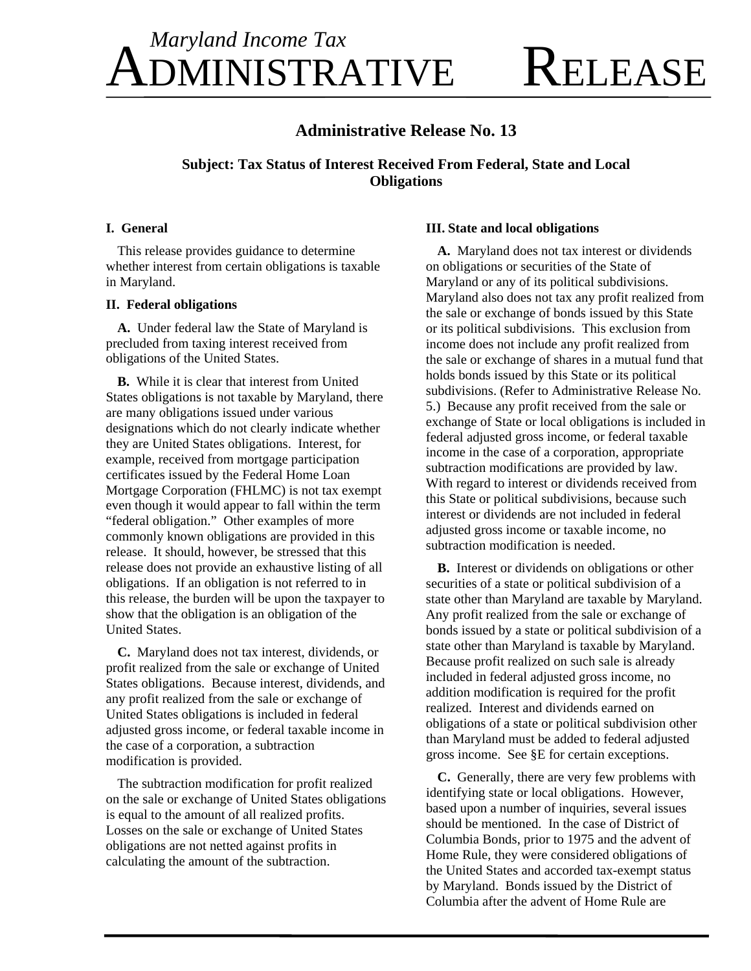# DMINISTRATIVE RELEASE *Maryland Income Tax*

# **Administrative Release No. 13**

## **Subject: Tax Status of Interest Received From Federal, State and Local Obligations**

#### **I.** General

This release provides guidance to determine whether interest from certain obligations is taxable in Maryland.

## **II. Federal obligations**

A. Under federal law the State of Maryland is precluded from taxing interest received from obligations of the United States.

B. While it is clear that interest from United States obligations is not taxable by Maryland, there are many obligations issued under various designations which do not clearly indicate whether they are United States obligations. Interest, for example, received from mortgage participation certificates issued by the Federal Home Loan Mortgage Corporation (FHLMC) is not tax exempt even though it would appear to fall within the term "federal obligation." Other examples of more commonly known obligations are provided in this release. It should, however, be stressed that this release does not provide an exhaustive listing of all obligations. If an obligation is not referred to in this release, the burden will be upon the taxpayer to show that the obligation is an obligation of the United States.

C. Maryland does not tax interest, dividends, or profit realized from the sale or exchange of United States obligations. Because interest, dividends, and any profit realized from the sale or exchang e of United States obligations is included in fed eral adjusted gross income, or federal taxable income in the case of a corporation, a subtraction modification is provided.

The subtraction modification for profit realized on the sale or exchange of United States obligations is equal to the amount of all realized profits. Losses on the sale or exchange of United States obligations are not netted against profits in calculating the amount of the subtraction.

## **III. State and local obligations**

A. Maryland does not tax interest or dividends on obligations or securities of the State of Maryland or any of its political subdivisions. Maryland also does not tax any profit realized from the sale or exchange of bonds issued by this State or its political subdivisions. This exclusion from income does not include any profit realized from the sale or exchange of shares in a mutual fund that holds bonds issued by this State or its political subdivisions. (Refer to Administrative Release No. 5.) Because any profit received from the sale or exchange of State or local obligations is included in federal adjusted gross income, or federal taxable income in the case of a corporation, appropriate subtraction modifications are provided by law. With regard to interest or dividends received from this State or political subdivisions, because such interest or dividends are not included in federal adjusted gross income or taxable income, no subtraction modification is needed.

B. Interest or dividends on obligations or other securities of a state or political subdivision of a state other than Maryland are taxable by Maryland. Any profit realized from the sale or exchange of bonds issued by a state or political subdivision of a state other than Maryland is taxable by Maryland. Because profit realized on such sale is already included in federal adjusted gross income, no addition modification is required for the profit realized. Interest and dividends earned on obligations of a state or political subdivision other than Maryland must be added to federal adjusted gross income. See §E for certain exceptions.

**C.** Generally, there are very few problems with identifying state or local obligations. However, based upon a number of inquiries, several issues should be mentioned. In the case of District of Columbia Bonds, prior to 1975 and the advent of Home Rule, they were considered obligations of the United States and accorded tax-exempt status by Maryland. Bonds issued by the District of Columbia after the advent of Home Rule are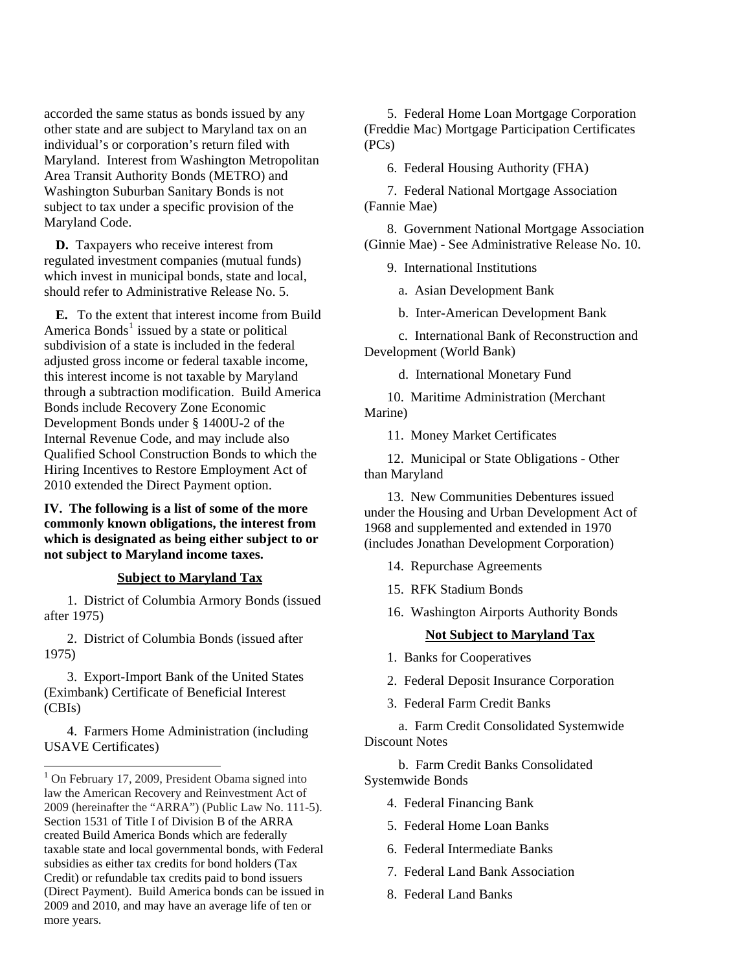accorded the same status as bonds is sued by a ny other state and are subject to Maryland t ax on an individual's or corporation's return filed with Maryland. Interest from Washington Metropolitan Area Transit Authority Bonds (METRO) and Washington Suburban Sanitary Bonds is not subject to tax under a specific provision of the Maryland Code.

**D.** Taxpayers who receive interest from which invest in municipal bonds, state and local, should refer to Administrative Release No. 5. regulated investment companies (mutual funds)

E. To the extent that interest income from Build America Bonds<sup>[1](#page-1-0)</sup> issued by a state or political subdivision of a state is included in the federal adjusted gross income or federal taxable income, this interest income is not taxable by Maryland through a subtraction modification. Build America Bonds include Recovery Zone Economic Development Bonds under § 1400U-2 of the Internal Revenue Code, and may include also Qualified School Construction Bonds to which the Hiring Incentives to Restore Employment Act of 2010 extended the Direct Payment option.

IV. The following is a list of some of the more commonly known obligations, the interest from which is designated as being either subject to or not subject to Maryland income taxes.

#### **x Subject to Maryland Ta**

1. District of Columbia Armory Bonds (issued after 1975)

2. District of Columbia Bonds (issued after 1975)

3. Export-Import Bank of the United States (Eximbank) Certificate of Beneficial Interest (CBIs)

4. Farmers Home Administration (including USAVE Certificates)

 $\overline{a}$ 

5. Federal Home Loan Mortgage Corporation (Freddie Mac) Mortgage Participation Certificates (PCs)

6. Federal Housing Authority (FHA)

7. Federal National Mortgage Association (Fannie Mae)

8. Government National Mortgage Association (Ginnie Mae) - See Administrative Release No. 10.

9. International Institutions

a. Asian Development Bank

b. Inter-American Development Bank

c. International Bank of Reconstruction and Development (World Bank)

d. International Monetary Fund

10. Maritime Administration (Merchant Marine)

11. Money Market Certificates

12. Municipal or State Obligations - Other than Maryland

under the Housing and Urban Development Act of 1968 and supplemented and extended in 1970 (includes Jonathan Development Corporation) 13. New Communities Debentures issued

- 14. Repurchase Agreements
- 15. RFK Stadium Bonds
- 16. Washington Airports Authority Bonds

#### **Not Subject to Maryland Tax**

- 1. Banks for Cooperatives
- 2. Federal Deposit Insurance Corporation
- 3. Federal Farm Credit Banks

a. Farm Credit Consolidated Systemwide Discount Notes

b. Farm Credit Banks Consolidated Systemwide Bonds

- 4. Federal Financing Bank
- 5. Federal Home Loan Banks
- 6. Federal Intermediate Banks
- 7. Federal Land Bank Association
- 8. Federal Land Banks

<span id="page-1-0"></span><sup>&</sup>lt;sup>1</sup> On February 17, 2009, President Obama signed into law the American Recovery and Reinvestment Act of 2009 (hereinafter the "ARRA") (Public Law No. 111-5). Section 1531 of Title I of Division B of the ARRA created Build America Bonds which are federally taxable state and local governmental bonds, with Federal subsidies as either tax credits for bond holders (Tax Credit) or refundable tax credits paid to bond issuers (Direct Payment). Build America bonds can be issued in 2009 and 2010, and may have an average life of ten or more years.